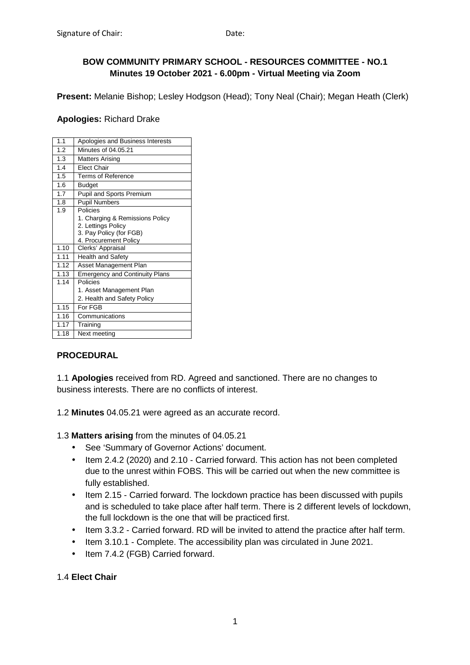# **BOW COMMUNITY PRIMARY SCHOOL - RESOURCES COMMITTEE - NO.1 Minutes 19 October 2021 - 6.00pm - Virtual Meeting via Zoom**

**Present:** Melanie Bishop; Lesley Hodgson (Head); Tony Neal (Chair); Megan Heath (Clerk)

#### **Apologies:** Richard Drake

| 1.1              | Apologies and Business Interests      |
|------------------|---------------------------------------|
| 1.2              | Minutes of 04.05.21                   |
| 1.3              | <b>Matters Arising</b>                |
| 1.4              | <b>Flect Chair</b>                    |
| $\overline{1.5}$ | <b>Terms of Reference</b>             |
| 1.6              | <b>Budget</b>                         |
| 1.7              | Pupil and Sports Premium              |
| 1.8              | <b>Pupil Numbers</b>                  |
| 1.9              | Policies                              |
|                  | 1. Charging & Remissions Policy       |
|                  | 2. Lettings Policy                    |
|                  | 3. Pay Policy (for FGB)               |
|                  | 4. Procurement Policy                 |
| 1.10             | Clerks' Appraisal                     |
| 1.11             | <b>Health and Safety</b>              |
| 1.12             | Asset Management Plan                 |
|                  |                                       |
| 1.13             | <b>Emergency and Continuity Plans</b> |
| 1.14             | Policies                              |
|                  | 1. Asset Management Plan              |
|                  | 2. Health and Safety Policy           |
| 1.15             | For FGB                               |
| 1.16             | Communications                        |
| 1.17             | Training                              |

# **PROCEDURAL**

1.1 **Apologies** received from RD. Agreed and sanctioned. There are no changes to business interests. There are no conflicts of interest.

1.2 **Minutes** 04.05.21 were agreed as an accurate record.

1.3 **Matters arising** from the minutes of 04.05.21

- See 'Summary of Governor Actions' document.
- Item 2.4.2 (2020) and 2.10 Carried forward. This action has not been completed due to the unrest within FOBS. This will be carried out when the new committee is fully established.
- Item 2.15 Carried forward. The lockdown practice has been discussed with pupils and is scheduled to take place after half term. There is 2 different levels of lockdown, the full lockdown is the one that will be practiced first.
- Item 3.3.2 Carried forward. RD will be invited to attend the practice after half term.
- Item 3.10.1 Complete. The accessibility plan was circulated in June 2021.
- Item 7.4.2 (FGB) Carried forward.

# 1.4 **Elect Chair**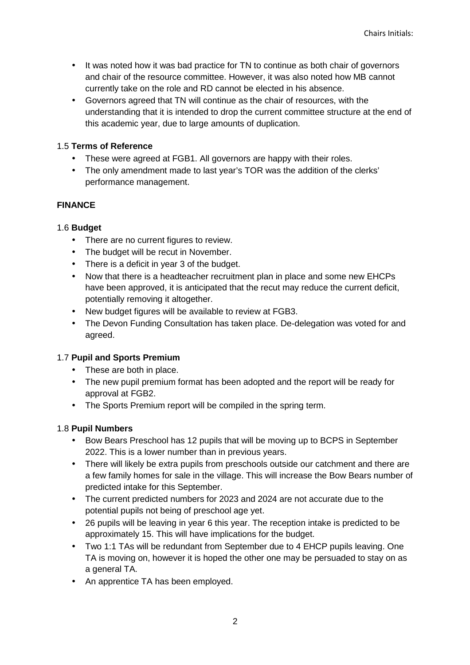- It was noted how it was bad practice for TN to continue as both chair of governors and chair of the resource committee. However, it was also noted how MB cannot currently take on the role and RD cannot be elected in his absence.
- Governors agreed that TN will continue as the chair of resources, with the understanding that it is intended to drop the current committee structure at the end of this academic year, due to large amounts of duplication.

# 1.5 **Terms of Reference**

- These were agreed at FGB1. All governors are happy with their roles.
- The only amendment made to last year's TOR was the addition of the clerks' performance management.

# **FINANCE**

# 1.6 **Budget**

- There are no current figures to review.
- The budget will be recut in November.
- There is a deficit in year 3 of the budget.
- Now that there is a headteacher recruitment plan in place and some new EHCPs have been approved, it is anticipated that the recut may reduce the current deficit, potentially removing it altogether.
- New budget figures will be available to review at FGB3.
- The Devon Funding Consultation has taken place. De-delegation was voted for and agreed.

# 1.7 **Pupil and Sports Premium**

- These are both in place.
- The new pupil premium format has been adopted and the report will be ready for approval at FGB2.
- The Sports Premium report will be compiled in the spring term.

# 1.8 **Pupil Numbers**

- Bow Bears Preschool has 12 pupils that will be moving up to BCPS in September 2022. This is a lower number than in previous years.
- There will likely be extra pupils from preschools outside our catchment and there are a few family homes for sale in the village. This will increase the Bow Bears number of predicted intake for this September.
- The current predicted numbers for 2023 and 2024 are not accurate due to the potential pupils not being of preschool age yet.
- 26 pupils will be leaving in year 6 this year. The reception intake is predicted to be approximately 15. This will have implications for the budget.
- Two 1:1 TAs will be redundant from September due to 4 EHCP pupils leaving. One TA is moving on, however it is hoped the other one may be persuaded to stay on as a general TA.
- An apprentice TA has been employed.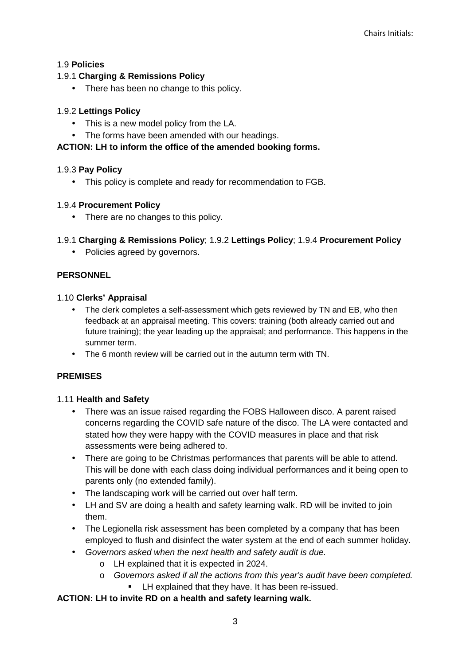# 1.9 **Policies**

## 1.9.1 **Charging & Remissions Policy**

• There has been no change to this policy.

### 1.9.2 **Lettings Policy**

- This is a new model policy from the LA.
- The forms have been amended with our headings.

# **ACTION: LH to inform the office of the amended booking forms.**

### 1.9.3 **Pay Policy**

• This policy is complete and ready for recommendation to FGB.

### 1.9.4 **Procurement Policy**

• There are no changes to this policy.

### 1.9.1 **Charging & Remissions Policy**; 1.9.2 **Lettings Policy**; 1.9.4 **Procurement Policy**

• Policies agreed by governors.

### **PERSONNEL**

#### 1.10 **Clerks' Appraisal**

- The clerk completes a self-assessment which gets reviewed by TN and EB, who then feedback at an appraisal meeting. This covers: training (both already carried out and future training); the year leading up the appraisal; and performance. This happens in the summer term.
- The 6 month review will be carried out in the autumn term with TN.

# **PREMISES**

#### 1.11 **Health and Safety**

- There was an issue raised regarding the FOBS Halloween disco. A parent raised concerns regarding the COVID safe nature of the disco. The LA were contacted and stated how they were happy with the COVID measures in place and that risk assessments were being adhered to.
- There are going to be Christmas performances that parents will be able to attend. This will be done with each class doing individual performances and it being open to parents only (no extended family).
- The landscaping work will be carried out over half term.
- LH and SV are doing a health and safety learning walk. RD will be invited to join them.
- The Legionella risk assessment has been completed by a company that has been employed to flush and disinfect the water system at the end of each summer holiday.
- Governors asked when the next health and safety audit is due.
	- o LH explained that it is expected in 2024.
	- o Governors asked if all the actions from this year's audit have been completed.
		- **EXECUTE:** LH explained that they have. It has been re-issued.

#### **ACTION: LH to invite RD on a health and safety learning walk.**